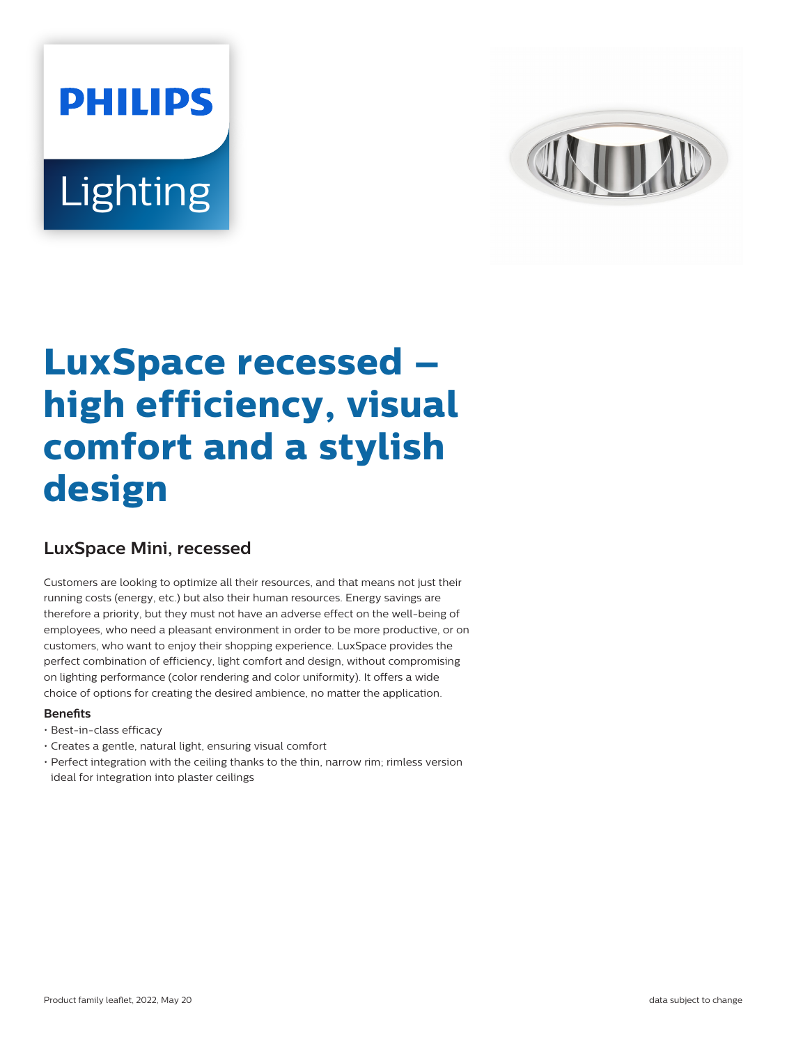# **PHILIPS** Lighting



# **LuxSpace recessed – high efficiency, visual comfort and a stylish design**

# **LuxSpace Mini, recessed**

Customers are looking to optimize all their resources, and that means not just their running costs (energy, etc.) but also their human resources. Energy savings are therefore a priority, but they must not have an adverse effect on the well-being of employees, who need a pleasant environment in order to be more productive, or on customers, who want to enjoy their shopping experience. LuxSpace provides the perfect combination of efficiency, light comfort and design, without compromising on lighting performance (color rendering and color uniformity). It offers a wide choice of options for creating the desired ambience, no matter the application.

#### **Benefits**

- Best-in-class efficacy
- Creates a gentle, natural light, ensuring visual comfort
- Perfect integration with the ceiling thanks to the thin, narrow rim; rimless version ideal for integration into plaster ceilings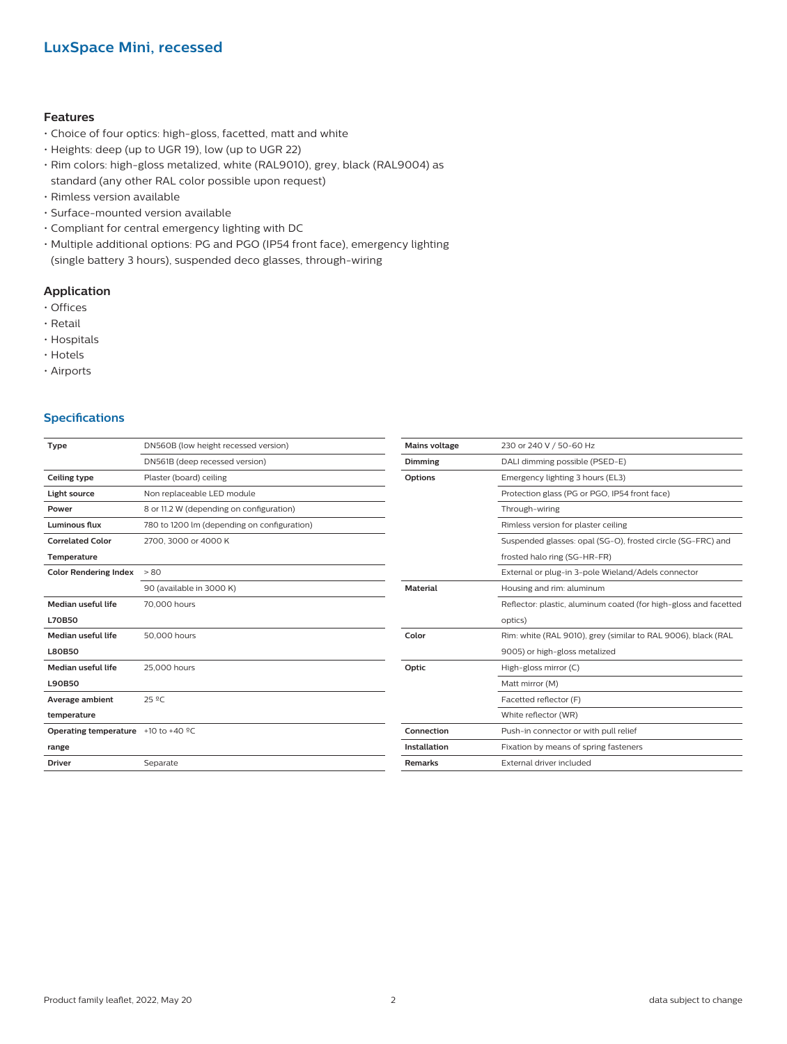#### **Features**

- Choice of four optics: high-gloss, facetted, matt and white
- Heights: deep (up to UGR 19), low (up to UGR 22)
- Rim colors: high-gloss metalized, white (RAL9010), grey, black (RAL9004) as standard (any other RAL color possible upon request)
- Rimless version available
- Surface-mounted version available
- Compliant for central emergency lighting with DC
- Multiple additional options: PG and PGO (IP54 front face), emergency lighting (single battery 3 hours), suspended deco glasses, through-wiring

#### **Application**

- Offices
- Retail
- Hospitals
- Hotels
- Airports

#### **Specifications**

| <b>Type</b>                                                | DN560B (low height recessed version)        | <b>Mains voltage</b> | 230 or 240 V / 50-60 Hz                                          |  |
|------------------------------------------------------------|---------------------------------------------|----------------------|------------------------------------------------------------------|--|
|                                                            | DN561B (deep recessed version)              | Dimming              | DALI dimming possible (PSED-E)                                   |  |
| Ceiling type                                               | Plaster (board) ceiling                     | Options              | Emergency lighting 3 hours (EL3)                                 |  |
| Light source                                               | Non replaceable LED module                  |                      | Protection glass (PG or PGO, IP54 front face)                    |  |
| Power                                                      | 8 or 11.2 W (depending on configuration)    | Through-wiring       |                                                                  |  |
| <b>Luminous flux</b>                                       | 780 to 1200 lm (depending on configuration) |                      | Rimless version for plaster ceiling                              |  |
| <b>Correlated Color</b>                                    | 2700, 3000 or 4000 K                        |                      | Suspended glasses: opal (SG-O), frosted circle (SG-FRC) and      |  |
| Temperature                                                |                                             |                      | frosted halo ring (SG-HR-FR)                                     |  |
| <b>Color Rendering Index</b>                               | > 80                                        |                      | External or plug-in 3-pole Wieland/Adels connector               |  |
|                                                            | 90 (available in 3000 K)                    | <b>Material</b>      | Housing and rim: aluminum                                        |  |
| <b>Median useful life</b>                                  | 70,000 hours                                |                      | Reflector: plastic, aluminum coated (for high-gloss and facetted |  |
| <b>L70B50</b>                                              |                                             |                      | optics)                                                          |  |
| <b>Median useful life</b>                                  | 50,000 hours                                | Color                | Rim: white (RAL 9010), grey (similar to RAL 9006), black (RAL    |  |
| <b>L80B50</b>                                              |                                             |                      | 9005) or high-gloss metalized                                    |  |
| Median useful life                                         | 25,000 hours                                | Optic                | High-gloss mirror (C)                                            |  |
| L90B50                                                     |                                             |                      | Matt mirror (M)                                                  |  |
| Average ambient                                            | 25 °C                                       |                      | Facetted reflector (F)                                           |  |
| temperature                                                |                                             |                      | White reflector (WR)                                             |  |
| <b>Operating temperature</b> $+10$ to $+40$ <sup>o</sup> C |                                             | Connection           | Push-in connector or with pull relief                            |  |
| range                                                      |                                             | <b>Installation</b>  | Fixation by means of spring fasteners                            |  |
| <b>Driver</b>                                              | Separate                                    | Remarks              | External driver included                                         |  |
|                                                            |                                             |                      |                                                                  |  |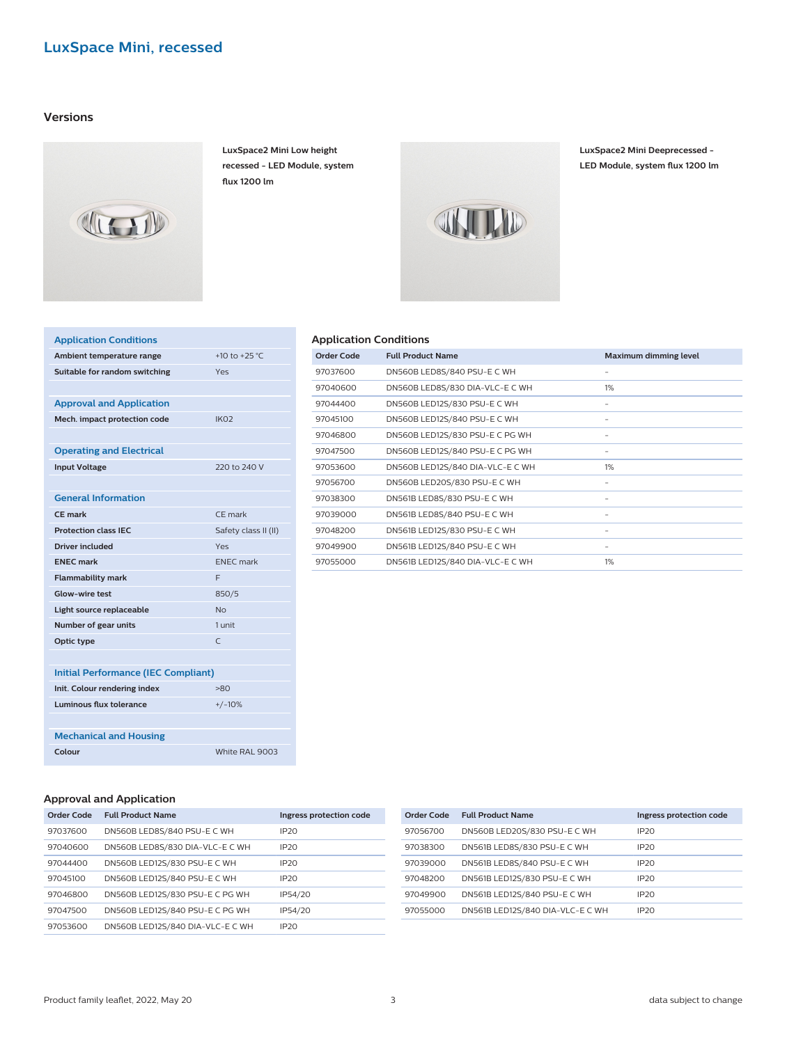#### **Versions**



**LuxSpace2 Mini Low height recessed - LED Module, system flux 1200 lm**

> ł, J. í, í, í, í, J. í,

> í, J. í, J.



**LuxSpace2 Mini Deeprecessed - LED Module, system flux 1200 lm**

| <b>Application Conditions</b>              |                      |
|--------------------------------------------|----------------------|
| Ambient temperature range                  | +10 to +25 °C        |
| Suitable for random switching              | Yes                  |
|                                            |                      |
| <b>Approval and Application</b>            |                      |
| Mech. impact protection code               | IK <sub>02</sub>     |
|                                            |                      |
| <b>Operating and Electrical</b>            |                      |
| <b>Input Voltage</b>                       | 220 to 240 V         |
|                                            |                      |
| <b>General Information</b>                 |                      |
| <b>CF</b> mark                             | CF mark              |
| <b>Protection class IEC</b>                | Safety class II (II) |
| <b>Driver included</b>                     | Yes                  |
| <b>ENEC mark</b>                           | <b>ENEC</b> mark     |
| <b>Flammability mark</b>                   | F                    |
| <b>Glow-wire test</b>                      | 850/5                |
| Light source replaceable                   | No                   |
| Number of gear units                       | 1 unit               |
| Optic type                                 | $\subset$            |
|                                            |                      |
| <b>Initial Performance (IEC Compliant)</b> |                      |
| Init. Colour rendering index               | >80                  |
| Luminous flux tolerance                    | $+/-10%$             |
|                                            |                      |
| <b>Mechanical and Housing</b>              |                      |
| Colour                                     | White RAL 9003       |
|                                            |                      |

| Order Code | <b>Full Product Name</b>         | <b>Maximum dimming level</b> |
|------------|----------------------------------|------------------------------|
| 97037600   | DN560B LED8S/840 PSU-E C WH      |                              |
| 97040600   | DN560B LED8S/830 DIA-VLC-E C WH  | $1\%$                        |
| 97044400   | DN560B LED12S/830 PSU-E C WH     |                              |
| 97045100   | DN560B LED12S/840 PSU-E C WH     |                              |
| 97046800   | DN560B LED12S/830 PSU-E C PG WH  |                              |
| 97047500   | DN560B LED12S/840 PSU-E C PG WH  |                              |
| 97053600   | DN560B LED12S/840 DIA-VLC-E C WH | 1%                           |
| 97056700   | DN560B LED20S/830 PSU-E C WH     |                              |
| 97038300   | DN561B LED8S/830 PSU-E C WH      |                              |
| 97039000   | DN561B LED8S/840 PSU-E C WH      |                              |
| 97048200   | DN561B LED12S/830 PSU-E C WH     |                              |
| 97049900   | DN561B LED12S/840 PSU-E C WH     |                              |
| 97055000   | DN561B LED12S/840 DIA-VLC-E C WH | 1%                           |

#### **Approval and Application**

| <b>Order Code</b> | <b>Full Product Name</b>         | Ingress protection code |
|-------------------|----------------------------------|-------------------------|
| 97037600          | DN560B LED8S/840 PSU-E C WH      | IP20                    |
| 97040600          | DN560B LED8S/830 DIA-VLC-E C WH  | IP20                    |
| 97044400          | DN560B LED12S/830 PSU-E C WH     | IP20                    |
| 97045100          | DN560B LED12S/840 PSU-E C WH     | IP20                    |
| 97046800          | DN560B LED12S/830 PSU-E C PG WH  | IP54/20                 |
| 97047500          | DN560B LED12S/840 PSU-E C PG WH  | IP54/20                 |
| 97053600          | DN560B LED12S/840 DIA-VLC-E C WH | IP20                    |

| <b>Full Product Name</b>         | Ingress protection code |
|----------------------------------|-------------------------|
| DN560B LED20S/830 PSU-E C WH     | IP20                    |
| DN561B LED8S/830 PSU-E C WH      | IP20                    |
| DN561B LED8S/840 PSU-E C WH      | IP20                    |
| DN561B LED12S/830 PSU-E C WH     | IP20                    |
| DN561B LED12S/840 PSU-E C WH     | IP20                    |
| DN561B LED12S/840 DIA-VLC-E C WH | IP20                    |
|                                  |                         |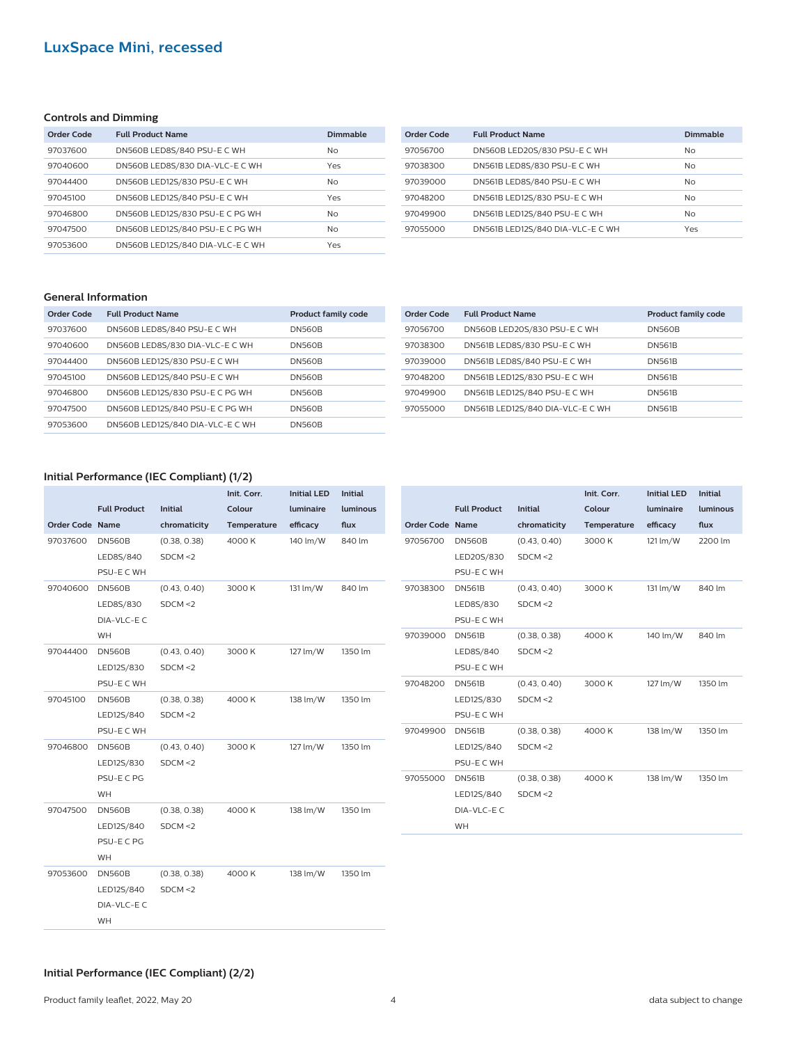#### **Controls and Dimming**

| Order Code | <b>Full Product Name</b>         | Dimmable |
|------------|----------------------------------|----------|
| 97037600   | DN560B LED8S/840 PSU-E C WH      | No.      |
| 97040600   | DN560B LED8S/830 DIA-VLC-E C WH  | Yes      |
| 97044400   | DN560B LED12S/830 PSU-E C WH     | No       |
| 97045100   | DN560B LED12S/840 PSU-E C WH     | Yes      |
| 97046800   | DN560B LED12S/830 PSU-E C PG WH  | No       |
| 97047500   | DN560B LED12S/840 PSU-E C PG WH  | No       |
| 97053600   | DN560B LED12S/840 DIA-VLC-E C WH | Yes      |

| Order Code | <b>Full Product Name</b>         | Dimmable  |
|------------|----------------------------------|-----------|
| 97056700   | DN560B LED20S/830 PSU-E C WH     | No        |
| 97038300   | DN561B LED8S/830 PSU-E C WH      | No.       |
| 97039000   | DN561B LED8S/840 PSU-E C WH      | <b>No</b> |
| 97048200   | DN561B LED12S/830 PSU-E C WH     | <b>No</b> |
| 97049900   | DN561B LED12S/840 PSU-E C WH     | No        |
| 97055000   | DN561B LED12S/840 DIA-VLC-E C WH | Yes       |

#### **General Information**

| Order Code | <b>Full Product Name</b>         | <b>Product family code</b> |
|------------|----------------------------------|----------------------------|
| 97037600   | DN560B LED8S/840 PSU-E C WH      | <b>DN560B</b>              |
| 97040600   | DN560B LED8S/830 DIA-VLC-E C WH  | <b>DN560B</b>              |
| 97044400   | DN560B LED12S/830 PSU-E C WH     | <b>DN560B</b>              |
| 97045100   | DN560B LED12S/840 PSU-E C WH     | <b>DN560B</b>              |
| 97046800   | DN560B LED12S/830 PSU-E C PG WH  | <b>DN560B</b>              |
| 97047500   | DN560B LED12S/840 PSU-E C PG WH  | <b>DN560B</b>              |
| 97053600   | DN560B LED12S/840 DIA-VLC-E C WH | <b>DN560B</b>              |

| Order Code | <b>Full Product Name</b>         | <b>Product family code</b> |
|------------|----------------------------------|----------------------------|
| 97056700   | DN560B LED20S/830 PSU-E C WH     | <b>DN560B</b>              |
| 97038300   | DN561B LED8S/830 PSU-E C WH      | <b>DN561B</b>              |
| 97039000   | DN561B LED8S/840 PSU-E C WH      | <b>DN561B</b>              |
| 97048200   | DN561B LED12S/830 PSU-E C WH     | <b>DN561B</b>              |
| 97049900   | DN561B LED12S/840 PSU-E C WH     | <b>DN561B</b>              |
| 97055000   | DN561B LED12S/840 DIA-VLC-E C WH | <b>DN561B</b>              |
|            |                                  |                            |

**Initial LED luminaire efficacy**

121 lm/W 2200 lm

131 lm/W 840 lm

140 lm/W 840 lm

127 lm/W 1350 lm

138 lm/W 1350 lm

138 lm/W 1350 lm

**Initial luminous flux**

#### **Initial Performance (IEC Compliant) (1/2)**

|                        |                     |              | Init. Corr. | <b>Initial LED</b> | <b>Initial</b> |                        |                     |                | Init. Corr. |
|------------------------|---------------------|--------------|-------------|--------------------|----------------|------------------------|---------------------|----------------|-------------|
|                        | <b>Full Product</b> | Initial      | Colour      | luminaire          | luminous       |                        | <b>Full Product</b> | <b>Initial</b> | Colour      |
| <b>Order Code Name</b> |                     | chromaticity | Temperature | efficacy           | flux           | <b>Order Code Name</b> |                     | chromaticity   | Temperature |
| 97037600               | <b>DN560B</b>       | (0.38, 0.38) | 4000 K      | 140 lm/W           | 840 lm         | 97056700               | <b>DN560B</b>       | (0.43, 0.40)   | 3000 K      |
|                        | LED8S/840           | SDCM < 2     |             |                    |                |                        | LED20S/830          | SDCM < 2       |             |
|                        | PSU-E C WH          |              |             |                    |                |                        | PSU-E C WH          |                |             |
| 97040600               | <b>DN560B</b>       | (0.43, 0.40) | 3000 K      | 131 lm/W           | 840 lm         | 97038300               | <b>DN561B</b>       | (0.43, 0.40)   | 3000 K      |
|                        | LED8S/830           | SDCM < 2     |             |                    |                |                        | LED8S/830           | SDCM < 2       |             |
|                        | DIA-VLC-EC          |              |             |                    |                |                        | PSU-E C WH          |                |             |
|                        | WH                  |              |             |                    |                | 97039000               | <b>DN561B</b>       | (0.38, 0.38)   | 4000 K      |
| 97044400               | <b>DN560B</b>       | (0.43, 0.40) | 3000 K      | 127 lm/W           | 1350 lm        |                        | LED8S/840           | SDCM < 2       |             |
|                        | LED12S/830          | SDCM < 2     |             |                    |                |                        | PSU-E C WH          |                |             |
|                        | PSU-E C WH          |              |             |                    |                | 97048200               | <b>DN561B</b>       | (0.43, 0.40)   | 3000 K      |
| 97045100               | <b>DN560B</b>       | (0.38, 0.38) | 4000 K      | 138 lm/W           | 1350 lm        |                        | LED12S/830          | SDCM < 2       |             |
|                        | LED12S/840          | SDCM < 2     |             |                    |                |                        | PSU-E C WH          |                |             |
|                        | PSU-E C WH          |              |             |                    |                | 97049900               | <b>DN561B</b>       | (0.38, 0.38)   | 4000 K      |
| 97046800               | <b>DN560B</b>       | (0.43, 0.40) | 3000 K      | 127 lm/W           | 1350 lm        |                        | LED12S/840          | SDCM < 2       |             |
|                        | LED12S/830          | SDCM < 2     |             |                    |                |                        | PSU-E C WH          |                |             |
|                        | PSU-E C PG          |              |             |                    |                | 97055000               | <b>DN561B</b>       | (0.38, 0.38)   | 4000 K      |
|                        | WH                  |              |             |                    |                |                        | LED12S/840          | SDCM < 2       |             |
| 97047500               | <b>DN560B</b>       | (0.38, 0.38) | 4000 K      | 138 lm/W           | 1350 lm        |                        | DIA-VLC-EC          |                |             |
|                        | LED12S/840          | SDCM < 2     |             |                    |                |                        | WH                  |                |             |
|                        | PSU-E C PG          |              |             |                    |                |                        |                     |                |             |
|                        | WH                  |              |             |                    |                |                        |                     |                |             |
| 97053600               | <b>DN560B</b>       | (0.38, 0.38) | 4000K       | 138 lm/W           | 1350 lm        |                        |                     |                |             |
|                        | LED12S/840          | SDCM < 2     |             |                    |                |                        |                     |                |             |
|                        | DIA-VLC-EC          |              |             |                    |                |                        |                     |                |             |
|                        | WH                  |              |             |                    |                |                        |                     |                |             |

#### **Initial Performance (IEC Compliant) (2/2)**